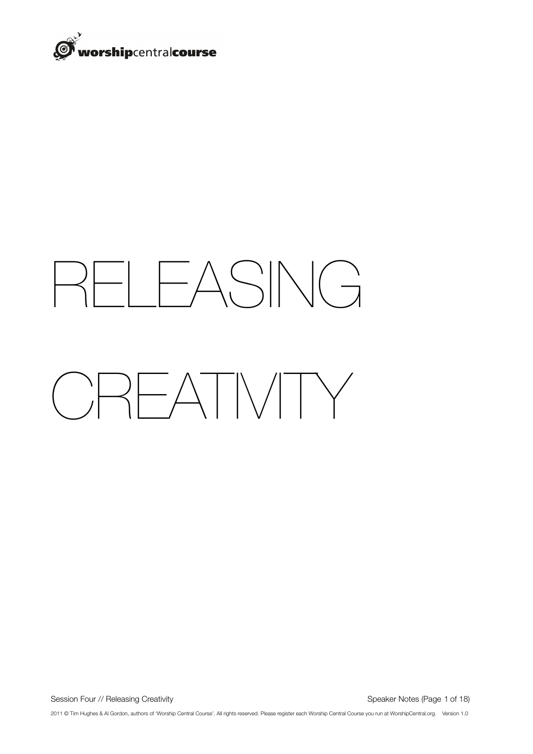

# RELEASING CREATIVITY

Session Four // Releasing Creativity 
Speaker Notes (Page 1 of 18)

2011 © Tim Hughes & Al Gordon, authors of 'Worship Central Course'. All rights reserved. Please register each Worship Central Course you run at WorshipCentral.org. Version 1.0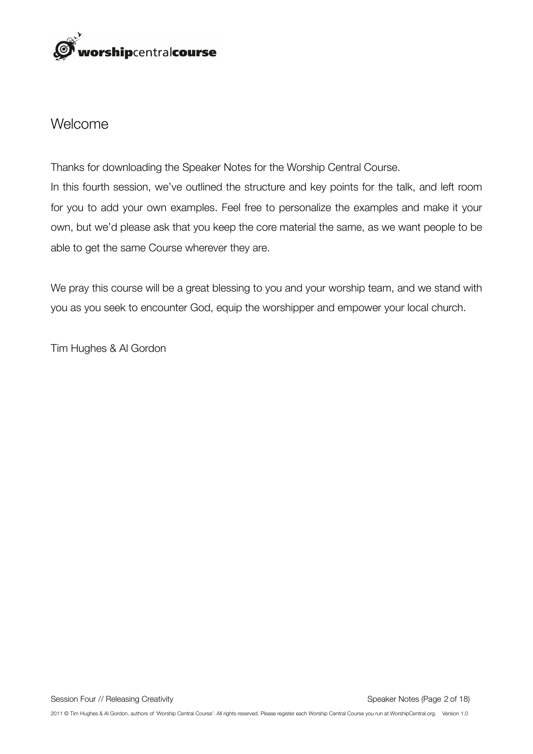

#### Welcome

Thanks for downloading the Speaker Notes for the Worship Central Course. In this fourth session, we've outlined the structure and key points for the talk, and left room for you to add your own examples. Feel free to personalize the examples and make it your own, but we'd please ask that you keep the core material the same, as we want people to be able to get the same Course wherever they are.

We pray this course will be a great blessing to you and your worship team, and we stand with you as you seek to encounter God, equip the worshipper and empower your local church.

Tim Hughes & Al Gordon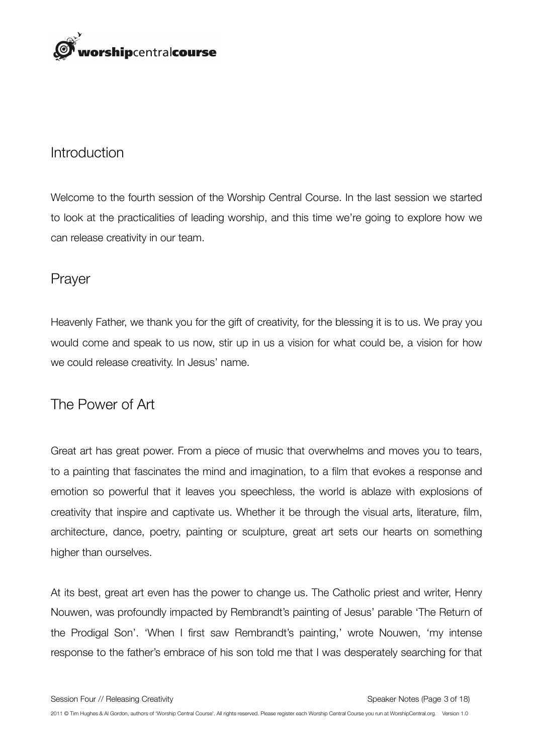

#### Introduction

Welcome to the fourth session of the Worship Central Course. In the last session we started to look at the practicalities of leading worship, and this time we're going to explore how we can release creativity in our team.

#### Prayer

Heavenly Father, we thank you for the gift of creativity, for the blessing it is to us. We pray you would come and speak to us now, stir up in us a vision for what could be, a vision for how we could release creativity. In Jesus' name.

#### The Power of Art

Great art has great power. From a piece of music that overwhelms and moves you to tears, to a painting that fascinates the mind and imagination, to a film that evokes a response and emotion so powerful that it leaves you speechless, the world is ablaze with explosions of creativity that inspire and captivate us. Whether it be through the visual arts, literature, film, architecture, dance, poetry, painting or sculpture, great art sets our hearts on something higher than ourselves.

At its best, great art even has the power to change us. The Catholic priest and writer, Henry Nouwen, was profoundly impacted by Rembrandt's painting of Jesus' parable 'The Return of the Prodigal Son'. 'When I first saw Rembrandt's painting,' wrote Nouwen, 'my intense response to the father's embrace of his son told me that I was desperately searching for that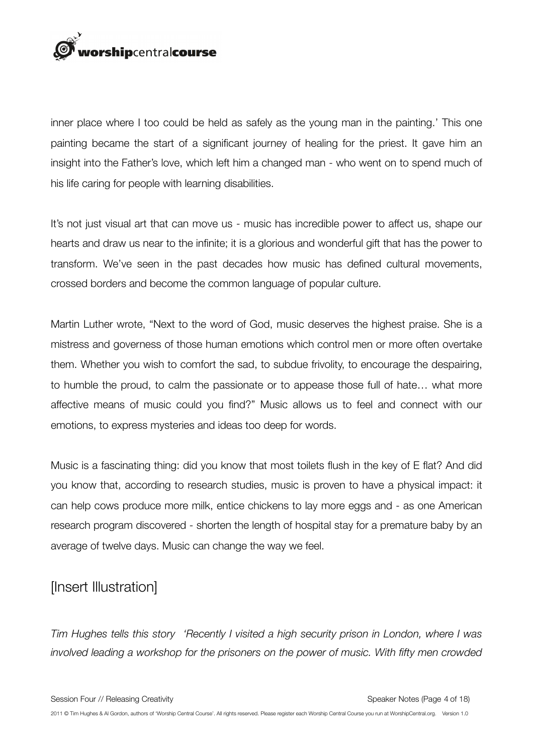

inner place where I too could be held as safely as the young man in the painting.' This one painting became the start of a significant journey of healing for the priest. It gave him an insight into the Father's love, which left him a changed man - who went on to spend much of his life caring for people with learning disabilities.

It's not just visual art that can move us - music has incredible power to affect us, shape our hearts and draw us near to the infinite; it is a glorious and wonderful gift that has the power to transform. We've seen in the past decades how music has defined cultural movements, crossed borders and become the common language of popular culture.

Martin Luther wrote, "Next to the word of God, music deserves the highest praise. She is a mistress and governess of those human emotions which control men or more often overtake them. Whether you wish to comfort the sad, to subdue frivolity, to encourage the despairing, to humble the proud, to calm the passionate or to appease those full of hate… what more affective means of music could you find?" Music allows us to feel and connect with our emotions, to express mysteries and ideas too deep for words.

Music is a fascinating thing: did you know that most toilets flush in the key of E flat? And did you know that, according to research studies, music is proven to have a physical impact: it can help cows produce more milk, entice chickens to lay more eggs and - as one American research program discovered - shorten the length of hospital stay for a premature baby by an average of twelve days. Music can change the way we feel.

#### [Insert Illustration]

*Tim Hughes tells this story 'Recently I visited a high security prison in London, where I was involved leading a workshop for the prisoners on the power of music. With fifty men crowded*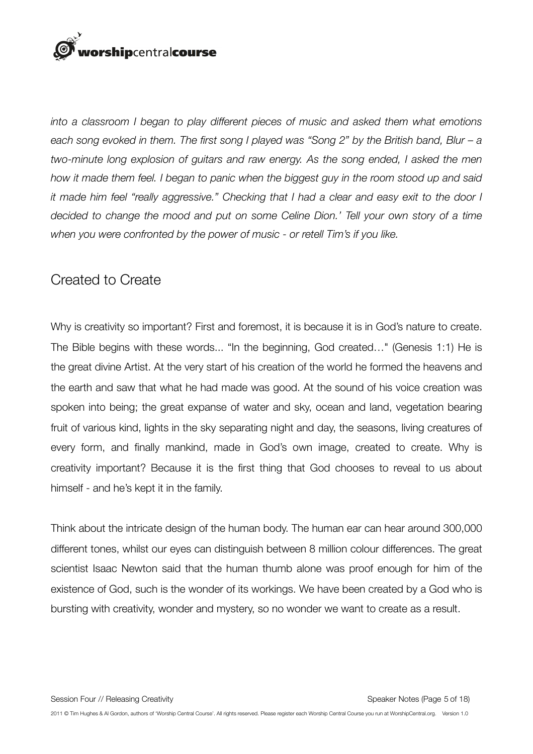## orshipcentralcourse

*into a classroom I began to play different pieces of music and asked them what emotions each song evoked in them. The first song I played was "Song 2" by the British band, Blur – a two-minute long explosion of guitars and raw energy. As the song ended, I asked the men how it made them feel. I began to panic when the biggest guy in the room stood up and said it made him feel "really aggressive." Checking that I had a clear and easy exit to the door I decided to change the mood and put on some Celine Dion.' Tell your own story of a time when you were confronted by the power of music - or retell Tim's if you like.*

### Created to Create

Why is creativity so important? First and foremost, it is because it is in God's nature to create. The Bible begins with these words... "In the beginning, God created..." (Genesis 1:1) He is the great divine Artist. At the very start of his creation of the world he formed the heavens and the earth and saw that what he had made was good. At the sound of his voice creation was spoken into being; the great expanse of water and sky, ocean and land, vegetation bearing fruit of various kind, lights in the sky separating night and day, the seasons, living creatures of every form, and finally mankind, made in God's own image, created to create. Why is creativity important? Because it is the first thing that God chooses to reveal to us about himself - and he's kept it in the family.

Think about the intricate design of the human body. The human ear can hear around 300,000 different tones, whilst our eyes can distinguish between 8 million colour differences. The great scientist Isaac Newton said that the human thumb alone was proof enough for him of the existence of God, such is the wonder of its workings. We have been created by a God who is bursting with creativity, wonder and mystery, so no wonder we want to create as a result.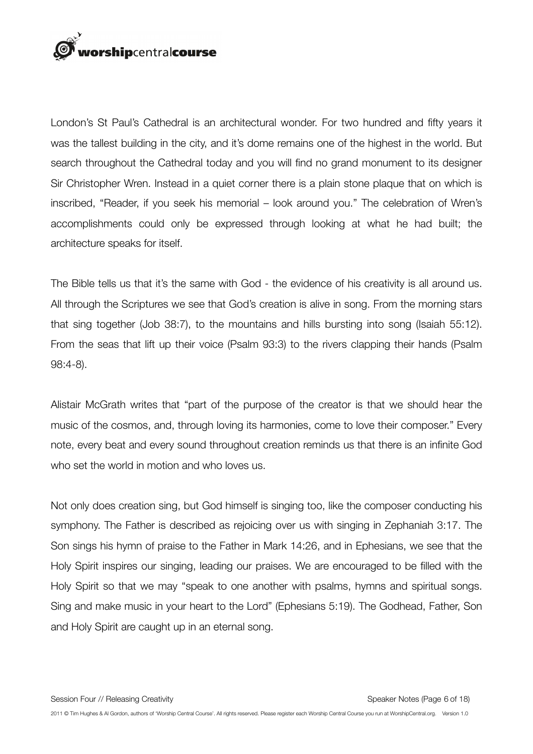

London's St Paul's Cathedral is an architectural wonder. For two hundred and fifty years it was the tallest building in the city, and it's dome remains one of the highest in the world. But search throughout the Cathedral today and you will find no grand monument to its designer Sir Christopher Wren. Instead in a quiet corner there is a plain stone plaque that on which is inscribed, "Reader, if you seek his memorial – look around you." The celebration of Wren's accomplishments could only be expressed through looking at what he had built; the architecture speaks for itself.

The Bible tells us that it's the same with God - the evidence of his creativity is all around us. All through the Scriptures we see that God's creation is alive in song. From the morning stars that sing together (Job 38:7), to the mountains and hills bursting into song (Isaiah 55:12). From the seas that lift up their voice (Psalm 93:3) to the rivers clapping their hands (Psalm 98:4-8).

Alistair McGrath writes that "part of the purpose of the creator is that we should hear the music of the cosmos, and, through loving its harmonies, come to love their composer." Every note, every beat and every sound throughout creation reminds us that there is an infinite God who set the world in motion and who loves us.

Not only does creation sing, but God himself is singing too, like the composer conducting his symphony. The Father is described as rejoicing over us with singing in Zephaniah 3:17. The Son sings his hymn of praise to the Father in Mark 14:26, and in Ephesians, we see that the Holy Spirit inspires our singing, leading our praises. We are encouraged to be filled with the Holy Spirit so that we may "speak to one another with psalms, hymns and spiritual songs. Sing and make music in your heart to the Lord" (Ephesians 5:19). The Godhead, Father, Son and Holy Spirit are caught up in an eternal song.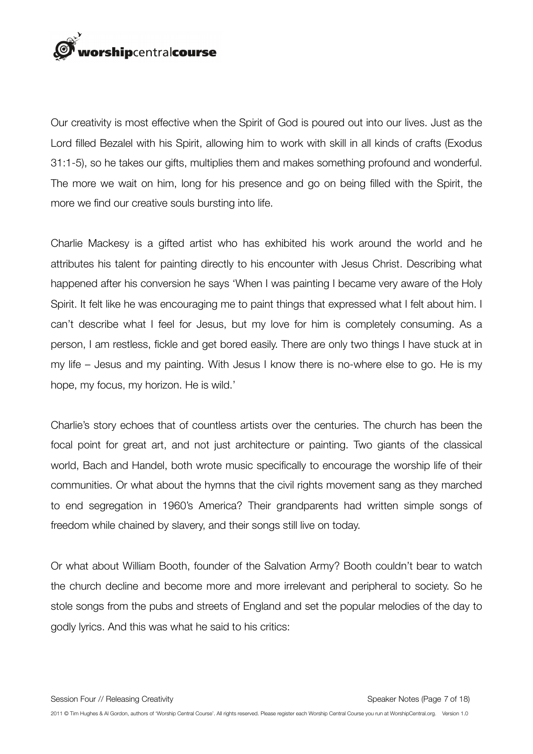

Our creativity is most effective when the Spirit of God is poured out into our lives. Just as the Lord filled Bezalel with his Spirit, allowing him to work with skill in all kinds of crafts (Exodus 31:1-5), so he takes our gifts, multiplies them and makes something profound and wonderful. The more we wait on him, long for his presence and go on being filled with the Spirit, the more we find our creative souls bursting into life.

Charlie Mackesy is a gifted artist who has exhibited his work around the world and he attributes his talent for painting directly to his encounter with Jesus Christ. Describing what happened after his conversion he says 'When I was painting I became very aware of the Holy Spirit. It felt like he was encouraging me to paint things that expressed what I felt about him. I can't describe what I feel for Jesus, but my love for him is completely consuming. As a person, I am restless, fickle and get bored easily. There are only two things I have stuck at in my life – Jesus and my painting. With Jesus I know there is no-where else to go. He is my hope, my focus, my horizon. He is wild.'

Charlie's story echoes that of countless artists over the centuries. The church has been the focal point for great art, and not just architecture or painting. Two giants of the classical world, Bach and Handel, both wrote music specifically to encourage the worship life of their communities. Or what about the hymns that the civil rights movement sang as they marched to end segregation in 1960's America? Their grandparents had written simple songs of freedom while chained by slavery, and their songs still live on today.

Or what about William Booth, founder of the Salvation Army? Booth couldn't bear to watch the church decline and become more and more irrelevant and peripheral to society. So he stole songs from the pubs and streets of England and set the popular melodies of the day to godly lyrics. And this was what he said to his critics: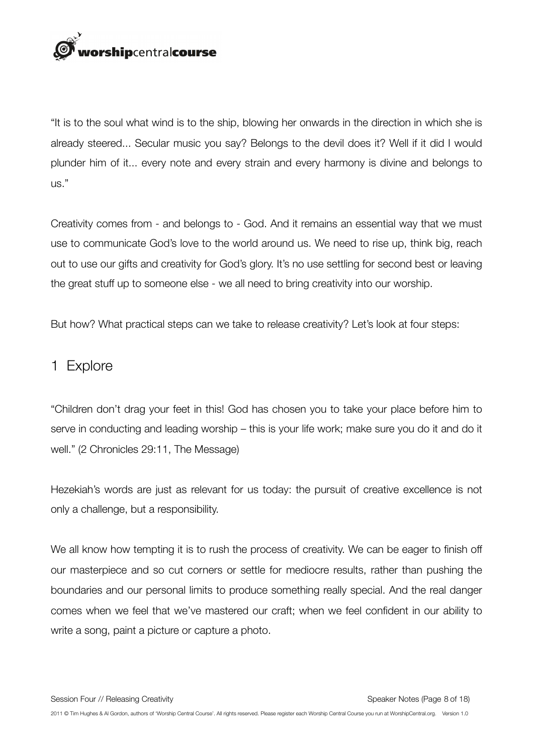

"It is to the soul what wind is to the ship, blowing her onwards in the direction in which she is already steered... Secular music you say? Belongs to the devil does it? Well if it did I would plunder him of it... every note and every strain and every harmony is divine and belongs to us."

Creativity comes from - and belongs to - God. And it remains an essential way that we must use to communicate God's love to the world around us. We need to rise up, think big, reach out to use our gifts and creativity for God's glory. It's no use settling for second best or leaving the great stuff up to someone else - we all need to bring creativity into our worship.

But how? What practical steps can we take to release creativity? Let's look at four steps:

#### 1 Explore

"Children don't drag your feet in this! God has chosen you to take your place before him to serve in conducting and leading worship – this is your life work; make sure you do it and do it well." (2 Chronicles 29:11, The Message)

Hezekiah's words are just as relevant for us today: the pursuit of creative excellence is not only a challenge, but a responsibility.

We all know how tempting it is to rush the process of creativity. We can be eager to finish off our masterpiece and so cut corners or settle for mediocre results, rather than pushing the boundaries and our personal limits to produce something really special. And the real danger comes when we feel that we've mastered our craft; when we feel confident in our ability to write a song, paint a picture or capture a photo.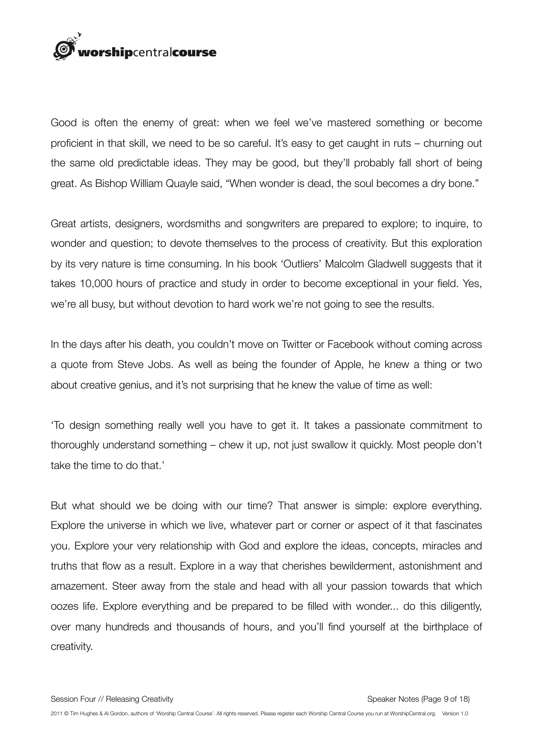

Good is often the enemy of great: when we feel we've mastered something or become proficient in that skill, we need to be so careful. It's easy to get caught in ruts – churning out the same old predictable ideas. They may be good, but they'll probably fall short of being great. As Bishop William Quayle said, "When wonder is dead, the soul becomes a dry bone."

Great artists, designers, wordsmiths and songwriters are prepared to explore; to inquire, to wonder and question; to devote themselves to the process of creativity. But this exploration by its very nature is time consuming. In his book 'Outliers' Malcolm Gladwell suggests that it takes 10,000 hours of practice and study in order to become exceptional in your field. Yes, we're all busy, but without devotion to hard work we're not going to see the results.

In the days after his death, you couldn't move on Twitter or Facebook without coming across a quote from Steve Jobs. As well as being the founder of Apple, he knew a thing or two about creative genius, and it's not surprising that he knew the value of time as well:

'To design something really well you have to get it. It takes a passionate commitment to thoroughly understand something – chew it up, not just swallow it quickly. Most people don't take the time to do that.'

But what should we be doing with our time? That answer is simple: explore everything. Explore the universe in which we live, whatever part or corner or aspect of it that fascinates you. Explore your very relationship with God and explore the ideas, concepts, miracles and truths that flow as a result. Explore in a way that cherishes bewilderment, astonishment and amazement. Steer away from the stale and head with all your passion towards that which oozes life. Explore everything and be prepared to be filled with wonder... do this diligently, over many hundreds and thousands of hours, and you'll find yourself at the birthplace of creativity.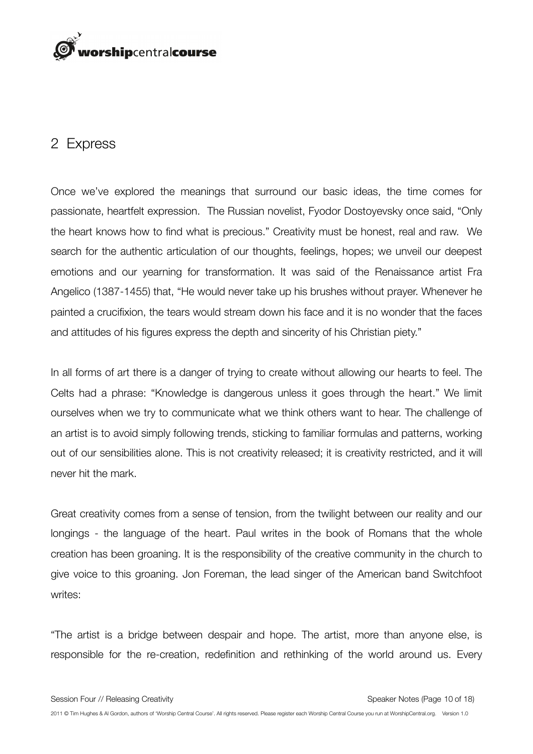

#### 2 Express

Once we've explored the meanings that surround our basic ideas, the time comes for passionate, heartfelt expression. The Russian novelist, Fyodor Dostoyevsky once said, "Only the heart knows how to find what is precious." Creativity must be honest, real and raw. We search for the authentic articulation of our thoughts, feelings, hopes; we unveil our deepest emotions and our yearning for transformation. It was said of the Renaissance artist Fra Angelico (1387-1455) that, "He would never take up his brushes without prayer. Whenever he painted a crucifixion, the tears would stream down his face and it is no wonder that the faces and attitudes of his figures express the depth and sincerity of his Christian piety."

In all forms of art there is a danger of trying to create without allowing our hearts to feel. The Celts had a phrase: "Knowledge is dangerous unless it goes through the heart." We limit ourselves when we try to communicate what we think others want to hear. The challenge of an artist is to avoid simply following trends, sticking to familiar formulas and patterns, working out of our sensibilities alone. This is not creativity released; it is creativity restricted, and it will never hit the mark.

Great creativity comes from a sense of tension, from the twilight between our reality and our longings - the language of the heart. Paul writes in the book of Romans that the whole creation has been groaning. It is the responsibility of the creative community in the church to give voice to this groaning. Jon Foreman, the lead singer of the American band Switchfoot writes:

"The artist is a bridge between despair and hope. The artist, more than anyone else, is responsible for the re-creation, redefinition and rethinking of the world around us. Every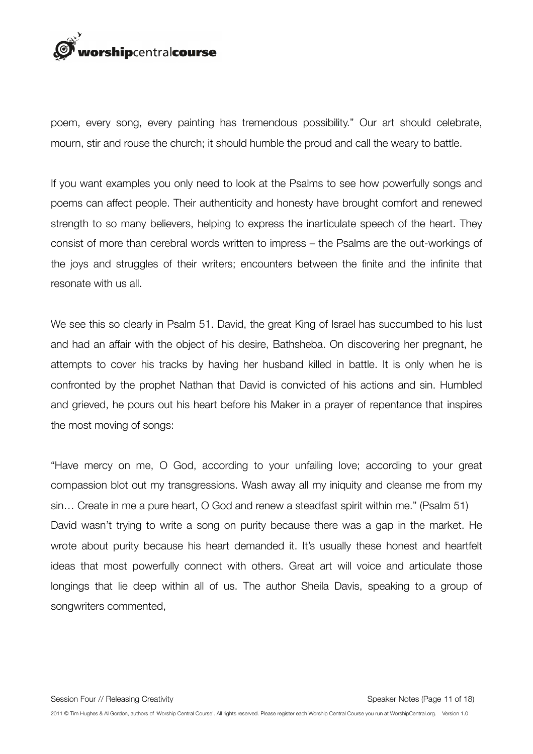

poem, every song, every painting has tremendous possibility." Our art should celebrate, mourn, stir and rouse the church; it should humble the proud and call the weary to battle.

If you want examples you only need to look at the Psalms to see how powerfully songs and poems can affect people. Their authenticity and honesty have brought comfort and renewed strength to so many believers, helping to express the inarticulate speech of the heart. They consist of more than cerebral words written to impress – the Psalms are the out-workings of the joys and struggles of their writers; encounters between the finite and the infinite that resonate with us all.

We see this so clearly in Psalm 51. David, the great King of Israel has succumbed to his lust and had an affair with the object of his desire, Bathsheba. On discovering her pregnant, he attempts to cover his tracks by having her husband killed in battle. It is only when he is confronted by the prophet Nathan that David is convicted of his actions and sin. Humbled and grieved, he pours out his heart before his Maker in a prayer of repentance that inspires the most moving of songs:

"Have mercy on me, O God, according to your unfailing love; according to your great compassion blot out my transgressions. Wash away all my iniquity and cleanse me from my sin… Create in me a pure heart, O God and renew a steadfast spirit within me." (Psalm 51) David wasn't trying to write a song on purity because there was a gap in the market. He wrote about purity because his heart demanded it. It's usually these honest and heartfelt ideas that most powerfully connect with others. Great art will voice and articulate those longings that lie deep within all of us. The author Sheila Davis, speaking to a group of songwriters commented,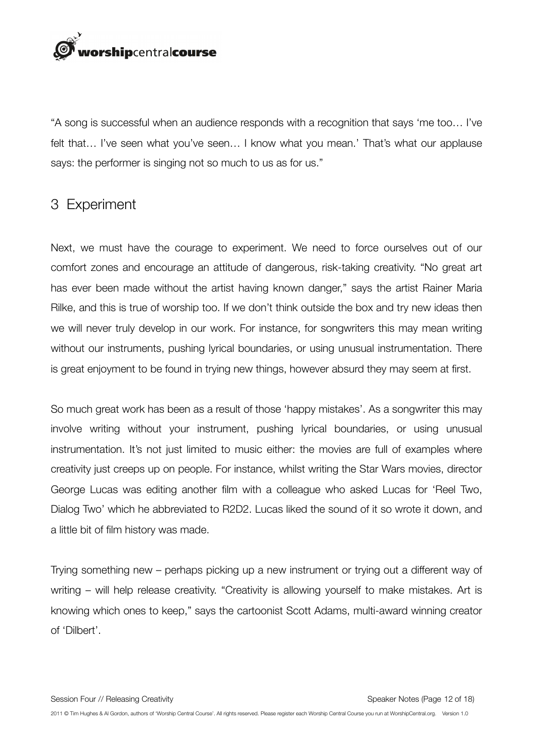

"A song is successful when an audience responds with a recognition that says 'me too… I've felt that… I've seen what you've seen… I know what you mean.' That's what our applause says: the performer is singing not so much to us as for us."

#### 3 Experiment

Next, we must have the courage to experiment. We need to force ourselves out of our comfort zones and encourage an attitude of dangerous, risk-taking creativity. "No great art has ever been made without the artist having known danger," says the artist Rainer Maria Rilke, and this is true of worship too. If we don't think outside the box and try new ideas then we will never truly develop in our work. For instance, for songwriters this may mean writing without our instruments, pushing lyrical boundaries, or using unusual instrumentation. There is great enjoyment to be found in trying new things, however absurd they may seem at first.

So much great work has been as a result of those 'happy mistakes'. As a songwriter this may involve writing without your instrument, pushing lyrical boundaries, or using unusual instrumentation. It's not just limited to music either: the movies are full of examples where creativity just creeps up on people. For instance, whilst writing the Star Wars movies, director George Lucas was editing another film with a colleague who asked Lucas for 'Reel Two, Dialog Two' which he abbreviated to R2D2. Lucas liked the sound of it so wrote it down, and a little bit of film history was made.

Trying something new – perhaps picking up a new instrument or trying out a different way of writing – will help release creativity. "Creativity is allowing yourself to make mistakes. Art is knowing which ones to keep," says the cartoonist Scott Adams, multi-award winning creator of 'Dilbert'.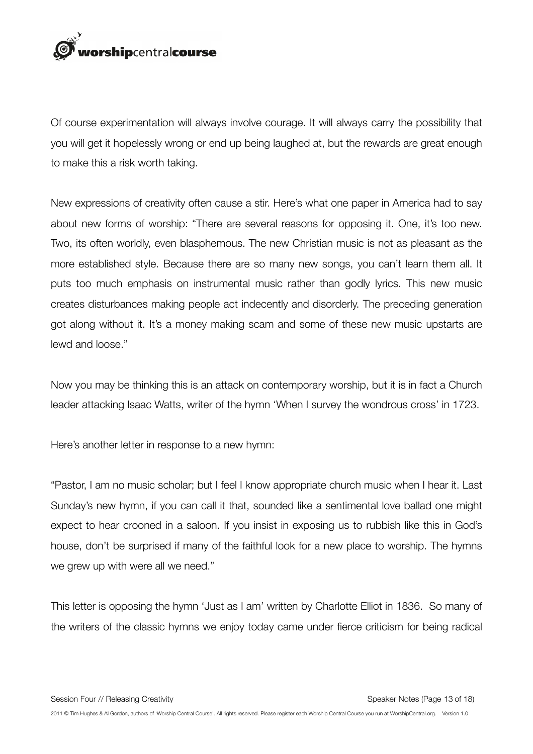

Of course experimentation will always involve courage. It will always carry the possibility that you will get it hopelessly wrong or end up being laughed at, but the rewards are great enough to make this a risk worth taking.

New expressions of creativity often cause a stir. Here's what one paper in America had to say about new forms of worship: "There are several reasons for opposing it. One, it's too new. Two, its often worldly, even blasphemous. The new Christian music is not as pleasant as the more established style. Because there are so many new songs, you can't learn them all. It puts too much emphasis on instrumental music rather than godly lyrics. This new music creates disturbances making people act indecently and disorderly. The preceding generation got along without it. It's a money making scam and some of these new music upstarts are lewd and loose."

Now you may be thinking this is an attack on contemporary worship, but it is in fact a Church leader attacking Isaac Watts, writer of the hymn 'When I survey the wondrous cross' in 1723.

Here's another letter in response to a new hymn:

"Pastor, I am no music scholar; but I feel I know appropriate church music when I hear it. Last Sunday's new hymn, if you can call it that, sounded like a sentimental love ballad one might expect to hear crooned in a saloon. If you insist in exposing us to rubbish like this in God's house, don't be surprised if many of the faithful look for a new place to worship. The hymns we grew up with were all we need."

This letter is opposing the hymn 'Just as I am' written by Charlotte Elliot in 1836. So many of the writers of the classic hymns we enjoy today came under fierce criticism for being radical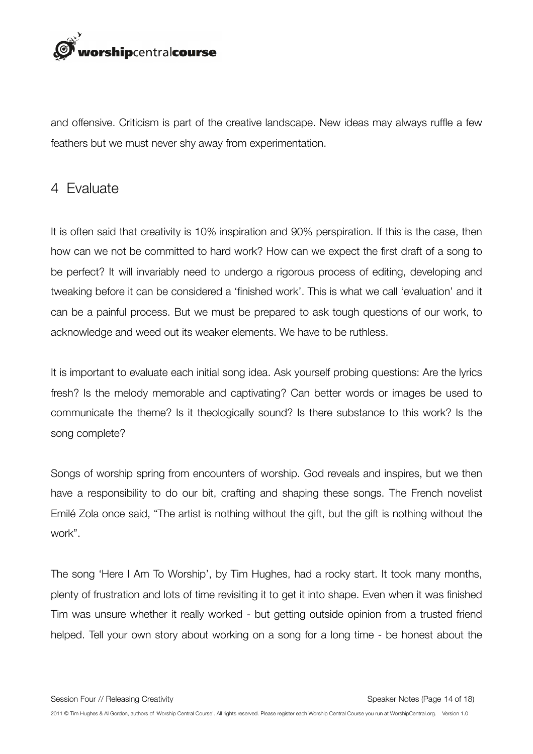

and offensive. Criticism is part of the creative landscape. New ideas may always ruffle a few feathers but we must never shy away from experimentation.

#### 4 Evaluate

It is often said that creativity is 10% inspiration and 90% perspiration. If this is the case, then how can we not be committed to hard work? How can we expect the first draft of a song to be perfect? It will invariably need to undergo a rigorous process of editing, developing and tweaking before it can be considered a 'finished work'. This is what we call 'evaluation' and it can be a painful process. But we must be prepared to ask tough questions of our work, to acknowledge and weed out its weaker elements. We have to be ruthless.

It is important to evaluate each initial song idea. Ask yourself probing questions: Are the lyrics fresh? Is the melody memorable and captivating? Can better words or images be used to communicate the theme? Is it theologically sound? Is there substance to this work? Is the song complete?

Songs of worship spring from encounters of worship. God reveals and inspires, but we then have a responsibility to do our bit, crafting and shaping these songs. The French novelist Emilé Zola once said, "The artist is nothing without the gift, but the gift is nothing without the work".

The song 'Here I Am To Worship', by Tim Hughes, had a rocky start. It took many months, plenty of frustration and lots of time revisiting it to get it into shape. Even when it was finished Tim was unsure whether it really worked - but getting outside opinion from a trusted friend helped. Tell your own story about working on a song for a long time - be honest about the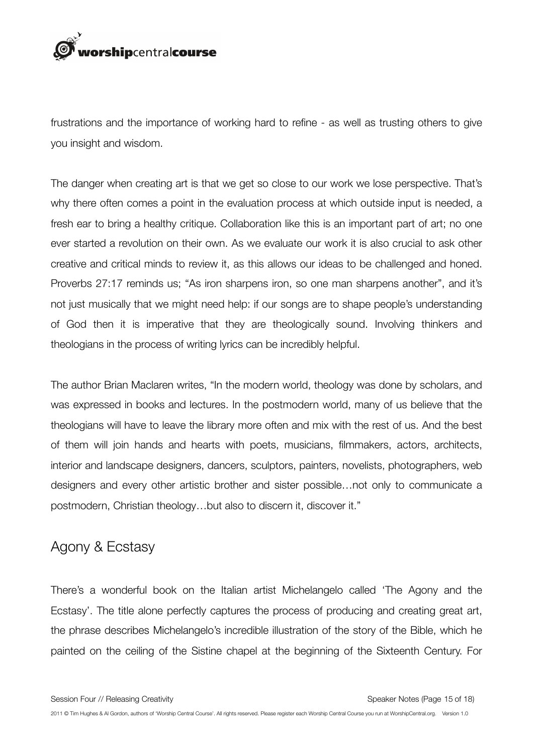

frustrations and the importance of working hard to refine - as well as trusting others to give you insight and wisdom.

The danger when creating art is that we get so close to our work we lose perspective. That's why there often comes a point in the evaluation process at which outside input is needed, a fresh ear to bring a healthy critique. Collaboration like this is an important part of art; no one ever started a revolution on their own. As we evaluate our work it is also crucial to ask other creative and critical minds to review it, as this allows our ideas to be challenged and honed. Proverbs 27:17 reminds us; "As iron sharpens iron, so one man sharpens another", and it's not just musically that we might need help: if our songs are to shape people's understanding of God then it is imperative that they are theologically sound. Involving thinkers and theologians in the process of writing lyrics can be incredibly helpful.

The author Brian Maclaren writes, "In the modern world, theology was done by scholars, and was expressed in books and lectures. In the postmodern world, many of us believe that the theologians will have to leave the library more often and mix with the rest of us. And the best of them will join hands and hearts with poets, musicians, filmmakers, actors, architects, interior and landscape designers, dancers, sculptors, painters, novelists, photographers, web designers and every other artistic brother and sister possible…not only to communicate a postmodern, Christian theology…but also to discern it, discover it."

#### Agony & Ecstasy

There's a wonderful book on the Italian artist Michelangelo called 'The Agony and the Ecstasy'. The title alone perfectly captures the process of producing and creating great art, the phrase describes Michelangelo's incredible illustration of the story of the Bible, which he painted on the ceiling of the Sistine chapel at the beginning of the Sixteenth Century. For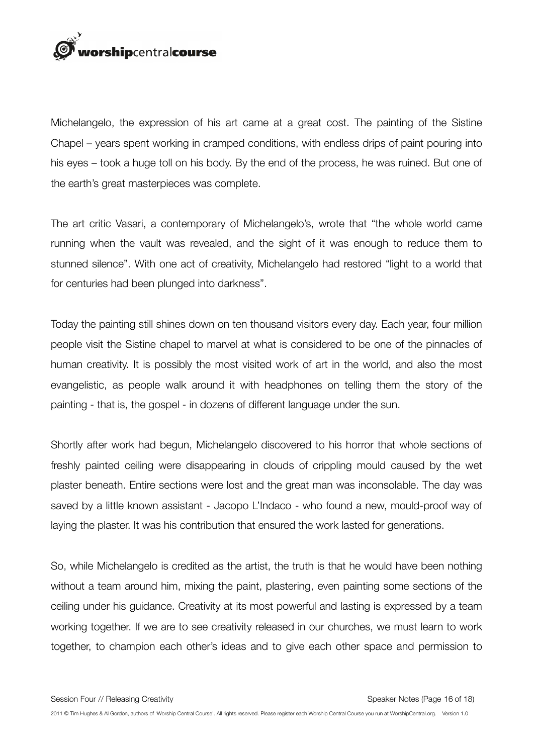

Michelangelo, the expression of his art came at a great cost. The painting of the Sistine Chapel – years spent working in cramped conditions, with endless drips of paint pouring into his eyes – took a huge toll on his body. By the end of the process, he was ruined. But one of the earth's great masterpieces was complete.

The art critic Vasari, a contemporary of Michelangelo's, wrote that "the whole world came running when the vault was revealed, and the sight of it was enough to reduce them to stunned silence". With one act of creativity, Michelangelo had restored "light to a world that for centuries had been plunged into darkness".

Today the painting still shines down on ten thousand visitors every day. Each year, four million people visit the Sistine chapel to marvel at what is considered to be one of the pinnacles of human creativity. It is possibly the most visited work of art in the world, and also the most evangelistic, as people walk around it with headphones on telling them the story of the painting - that is, the gospel - in dozens of different language under the sun.

Shortly after work had begun, Michelangelo discovered to his horror that whole sections of freshly painted ceiling were disappearing in clouds of crippling mould caused by the wet plaster beneath. Entire sections were lost and the great man was inconsolable. The day was saved by a little known assistant - Jacopo L'Indaco - who found a new, mould-proof way of laying the plaster. It was his contribution that ensured the work lasted for generations.

So, while Michelangelo is credited as the artist, the truth is that he would have been nothing without a team around him, mixing the paint, plastering, even painting some sections of the ceiling under his guidance. Creativity at its most powerful and lasting is expressed by a team working together. If we are to see creativity released in our churches, we must learn to work together, to champion each other's ideas and to give each other space and permission to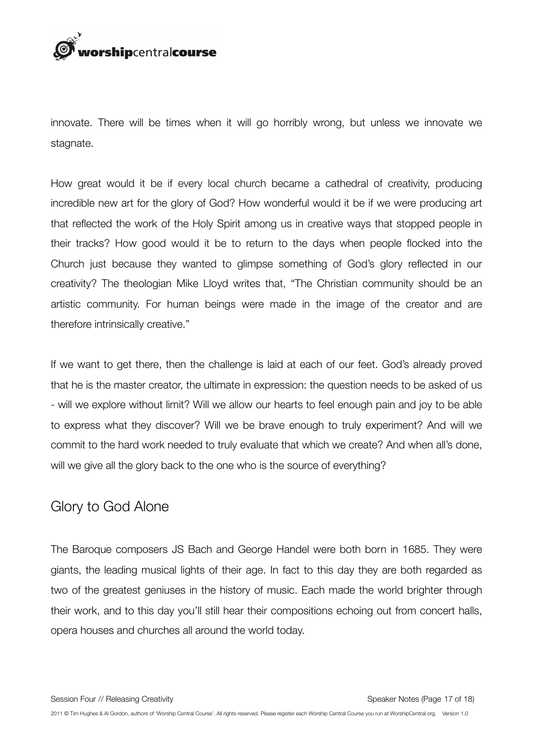

innovate. There will be times when it will go horribly wrong, but unless we innovate we stagnate.

How great would it be if every local church became a cathedral of creativity, producing incredible new art for the glory of God? How wonderful would it be if we were producing art that reflected the work of the Holy Spirit among us in creative ways that stopped people in their tracks? How good would it be to return to the days when people flocked into the Church just because they wanted to glimpse something of God's glory reflected in our creativity? The theologian Mike Lloyd writes that, "The Christian community should be an artistic community. For human beings were made in the image of the creator and are therefore intrinsically creative."

If we want to get there, then the challenge is laid at each of our feet. God's already proved that he is the master creator, the ultimate in expression: the question needs to be asked of us - will we explore without limit? Will we allow our hearts to feel enough pain and joy to be able to express what they discover? Will we be brave enough to truly experiment? And will we commit to the hard work needed to truly evaluate that which we create? And when all's done, will we give all the glory back to the one who is the source of everything?

#### Glory to God Alone

The Baroque composers JS Bach and George Handel were both born in 1685. They were giants, the leading musical lights of their age. In fact to this day they are both regarded as two of the greatest geniuses in the history of music. Each made the world brighter through their work, and to this day you'll still hear their compositions echoing out from concert halls, opera houses and churches all around the world today.